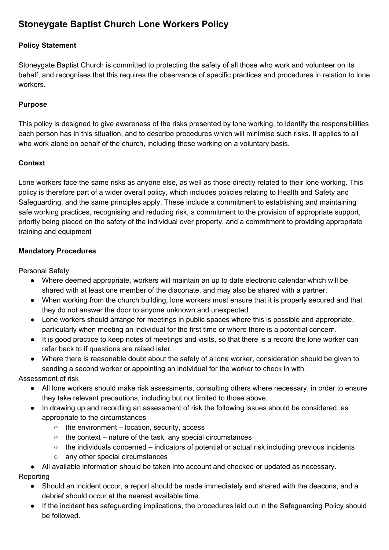# **Stoneygate Baptist Church Lone Workers Policy**

## **Policy Statement**

Stoneygate Baptist Church is committed to protecting the safety of all those who work and volunteer on its behalf, and recognises that this requires the observance of specific practices and procedures in relation to lone workers.

#### **Purpose**

This policy is designed to give awareness of the risks presented by lone working, to identify the responsibilities each person has in this situation, and to describe procedures which will minimise such risks. It applies to all who work alone on behalf of the church, including those working on a voluntary basis.

#### **Context**

Lone workers face the same risks as anyone else, as well as those directly related to their lone working. This policy is therefore part of a wider overall policy, which includes policies relating to Health and Safety and Safeguarding, and the same principles apply. These include a commitment to establishing and maintaining safe working practices, recognising and reducing risk, a commitment to the provision of appropriate support, priority being placed on the safety of the individual over property, and a commitment to providing appropriate training and equipment

#### **Mandatory Procedures**

Personal Safety

- Where deemed appropriate, workers will maintain an up to date electronic calendar which will be shared with at least one member of the diaconate, and may also be shared with a partner.
- When working from the church building, lone workers must ensure that it is properly secured and that they do not answer the door to anyone unknown and unexpected.
- Lone workers should arrange for meetings in public spaces where this is possible and appropriate, particularly when meeting an individual for the first time or where there is a potential concern.
- It is good practice to keep notes of meetings and visits, so that there is a record the lone worker can refer back to if questions are raised later.
- Where there is reasonable doubt about the safety of a lone worker, consideration should be given to sending a second worker or appointing an individual for the worker to check in with.

Assessment of risk

- All lone workers should make risk assessments, consulting others where necessary, in order to ensure they take relevant precautions, including but not limited to those above.
- In drawing up and recording an assessment of risk the following issues should be considered, as appropriate to the circumstances
	- the environment location, security, access
	- $\circ$  the context nature of the task, any special circumstances
	- $\circ$  the individuals concerned indicators of potential or actual risk including previous incidents
	- any other special circumstances
- All available information should be taken into account and checked or updated as necessary. Reporting
	- Should an incident occur, a report should be made immediately and shared with the deacons, and a debrief should occur at the nearest available time.
	- If the incident has safeguarding implications, the procedures laid out in the Safeguarding Policy should be followed.